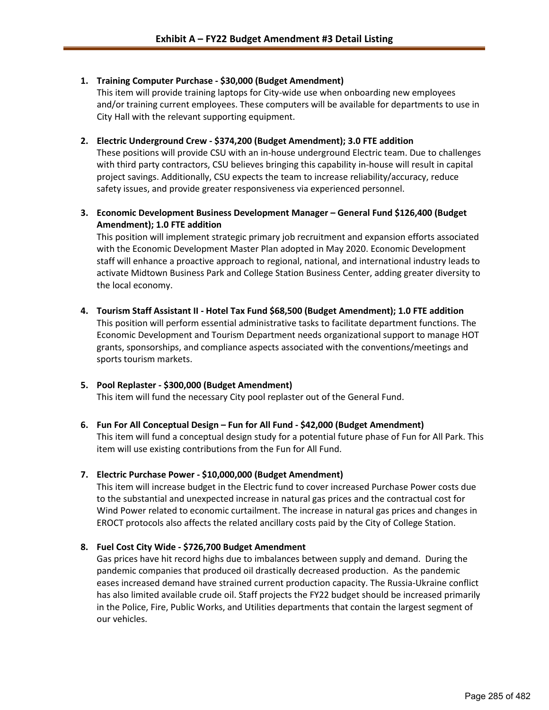### **1. Training Computer Purchase - \$30,000 (Budget Amendment)**

This item will provide training laptops for City-wide use when onboarding new employees and/or training current employees. These computers will be available for departments to use in City Hall with the relevant supporting equipment.

#### **2. Electric Underground Crew - \$374,200 (Budget Amendment); 3.0 FTE addition**

These positions will provide CSU with an in-house underground Electric team. Due to challenges with third party contractors, CSU believes bringing this capability in-house will result in capital project savings. Additionally, CSU expects the team to increase reliability/accuracy, reduce safety issues, and provide greater responsiveness via experienced personnel.

## **3. Economic Development Business Development Manager – General Fund \$126,400 (Budget Amendment); 1.0 FTE addition**

This position will implement strategic primary job recruitment and expansion efforts associated with the Economic Development Master Plan adopted in May 2020. Economic Development staff will enhance a proactive approach to regional, national, and international industry leads to activate Midtown Business Park and College Station Business Center, adding greater diversity to the local economy.

### **4. Tourism Staff Assistant II - Hotel Tax Fund \$68,500 (Budget Amendment); 1.0 FTE addition**

This position will perform essential administrative tasks to facilitate department functions. The Economic Development and Tourism Department needs organizational support to manage HOT grants, sponsorships, and compliance aspects associated with the conventions/meetings and sports tourism markets.

# **5. Pool Replaster - \$300,000 (Budget Amendment)**

This item will fund the necessary City pool replaster out of the General Fund.

# **6. Fun For All Conceptual Design – Fun for All Fund - \$42,000 (Budget Amendment)**

This item will fund a conceptual design study for a potential future phase of Fun for All Park. This item will use existing contributions from the Fun for All Fund.

## **7. Electric Purchase Power - \$10,000,000 (Budget Amendment)**

This item will increase budget in the Electric fund to cover increased Purchase Power costs due to the substantial and unexpected increase in natural gas prices and the contractual cost for Wind Power related to economic curtailment. The increase in natural gas prices and changes in EROCT protocols also affects the related ancillary costs paid by the City of College Station.

## **8. Fuel Cost City Wide - \$726,700 Budget Amendment**

Gas prices have hit record highs due to imbalances between supply and demand. During the pandemic companies that produced oil drastically decreased production. As the pandemic eases increased demand have strained current production capacity. The Russia-Ukraine conflict has also limited available crude oil. Staff projects the FY22 budget should be increased primarily in the Police, Fire, Public Works, and Utilities departments that contain the largest segment of our vehicles.